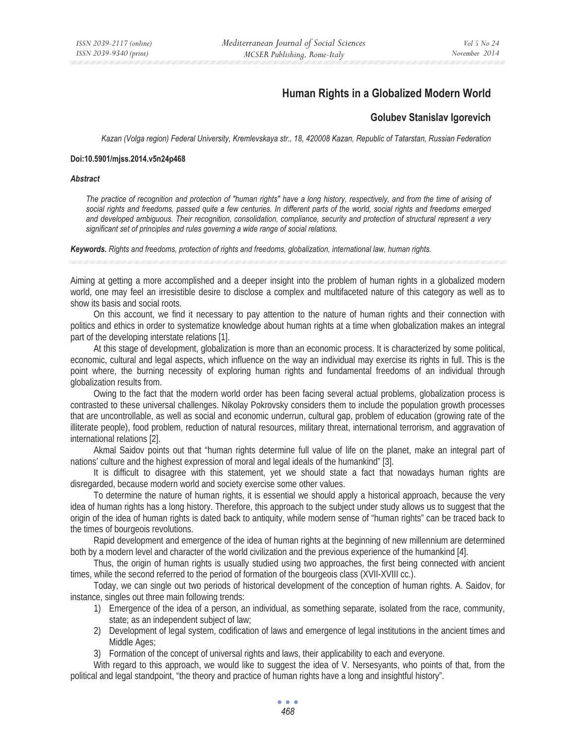# **Human Rights in a Globalized Modern World**

# **Golubev Stanislav Igorevich**

*Kazan (Volga region) Federal University, Kremlevskaya str., 18, 420008 Kazan, Republic of Tatarstan, Russian Federation* 

## **Doi:10.5901/mjss.2014.v5n24p468**

### *Abstract*

*The practice of recognition and protection of "human rights" have a long history, respectively, and from the time of arising of social rights and freedoms, passed quite a few centuries. In different parts of the world, social rights and freedoms emerged and developed ambiguous. Their recognition, consolidation, compliance, security and protection of structural represent a very significant set of principles and rules governing a wide range of social relations.* 

*Keywords. Rights and freedoms, protection of rights and freedoms, globalization, international law, human rights.*

Aiming at getting a more accomplished and a deeper insight into the problem of human rights in a globalized modern world, one may feel an irresistible desire to disclose a complex and multifaceted nature of this category as well as to show its basis and social roots.

On this account, we find it necessary to pay attention to the nature of human rights and their connection with politics and ethics in order to systematize knowledge about human rights at a time when globalization makes an integral part of the developing interstate relations [1].

At this stage of development, globalization is more than an economic process. It is characterized by some political, economic, cultural and legal aspects, which influence on the way an individual may exercise its rights in full. This is the point where, the burning necessity of exploring human rights and fundamental freedoms of an individual through globalization results from.

Owing to the fact that the modern world order has been facing several actual problems, globalization process is contrasted to these universal challenges. Nikolay Pokrovsky considers them to include the population growth processes that are uncontrollable, as well as social and economic underrun, cultural gap, problem of education (growing rate of the illiterate people), food problem, reduction of natural resources, military threat, international terrorism, and aggravation of international relations [2].

Akmal Saidov points out that "human rights determine full value of life on the planet, make an integral part of nations' culture and the highest expression of moral and legal ideals of the humankind" [3].

It is difficult to disagree with this statement, yet we should state a fact that nowadays human rights are disregarded, because modern world and society exercise some other values.

To determine the nature of human rights, it is essential we should apply a historical approach, because the very idea of human rights has a long history. Therefore, this approach to the subject under study allows us to suggest that the origin of the idea of human rights is dated back to antiquity, while modern sense of "human rights" can be traced back to the times of bourgeois revolutions.

Rapid development and emergence of the idea of human rights at the beginning of new millennium are determined both by a modern level and character of the world civilization and the previous experience of the humankind [4].

Thus, the origin of human rights is usually studied using two approaches, the first being connected with ancient times, while the second referred to the period of formation of the bourgeois class (XVII-XVIII cc.).

Today, we can single out two periods of historical development of the conception of human rights. A. Saidov, for instance, singles out three main following trends:

- 1) Emergence of the idea of a person, an individual, as something separate, isolated from the race, community, state; as an independent subject of law;
- 2) Development of legal system, codification of laws and emergence of legal institutions in the ancient times and Middle Ages;
- 3) Formation of the concept of universal rights and laws, their applicability to each and everyone.

With regard to this approach, we would like to suggest the idea of V. Nersesyants, who points of that, from the political and legal standpoint, "the theory and practice of human rights have a long and insightful history".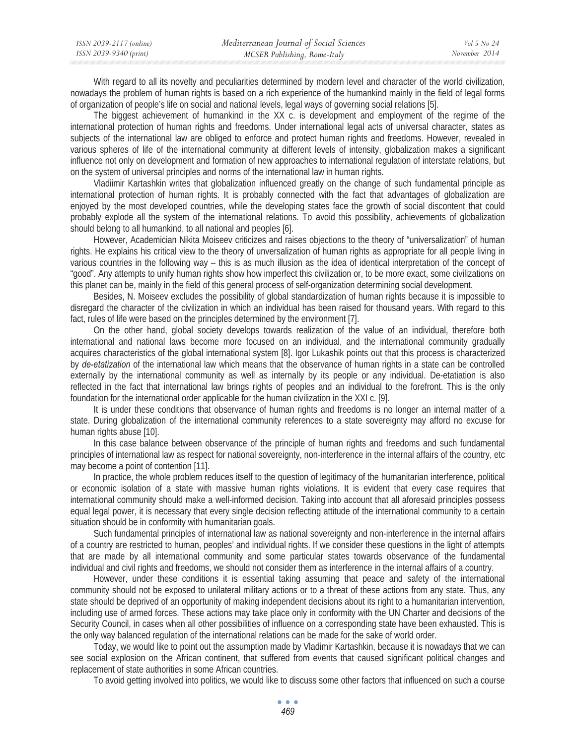| ISSN 2039-2117 (online) | Mediterranean Journal of Social Sciences | Vol 5 No 24   |
|-------------------------|------------------------------------------|---------------|
| ISSN 2039-9340 (print)  | MCSER Publishing, Rome-Italy             | November 2014 |

With regard to all its novelty and peculiarities determined by modern level and character of the world civilization, nowadays the problem of human rights is based on a rich experience of the humankind mainly in the field of legal forms of organization of people's life on social and national levels, legal ways of governing social relations [5].

The biggest achievement of humankind in the XX c. is development and employment of the regime of the international protection of human rights and freedoms. Under international legal acts of universal character, states as subjects of the international law are obliged to enforce and protect human rights and freedoms. However, revealed in various spheres of life of the international community at different levels of intensity, globalization makes a significant influence not only on development and formation of new approaches to international regulation of interstate relations, but on the system of universal principles and norms of the international law in human rights.

Vladiimir Kartashkin writes that globalization influenced greatly on the change of such fundamental principle as international protection of human rights. It is probably connected with the fact that advantages of globalization are enjoyed by the most developed countries, while the developing states face the growth of social discontent that could probably explode all the system of the international relations. To avoid this possibility, achievements of globalization should belong to all humankind, to all national and peoples [6].

However, Academician Nikita Moiseev criticizes and raises objections to the theory of "universalization" of human rights. He explains his critical view to the theory of unversalization of human rights as appropriate for all people living in various countries in the following way – this is as much illusion as the idea of identical interpretation of the concept of "good". Any attempts to unify human rights show how imperfect this civilization or, to be more exact, some civilizations on this planet can be, mainly in the field of this general process of self-organization determining social development.

Besides, N. Moiseev excludes the possibility of global standardization of human rights because it is impossible to disregard the character of the civilization in which an individual has been raised for thousand years. With regard to this fact, rules of life were based on the principles determined by the environment [7].

On the other hand, global society develops towards realization of the value of an individual, therefore both international and national laws become more focused on an individual, and the international community gradually acquires characteristics of the global international system [8]. Igor Lukashik points out that this process is characterized by *de-etatization* of the international law which means that the observance of human rights in a state can be controlled externally by the international community as well as internally by its people or any individual. De-etatiation is also reflected in the fact that international law brings rights of peoples and an individual to the forefront. This is the only foundation for the international order applicable for the human civilization in the XXI c. [9].

It is under these conditions that observance of human rights and freedoms is no longer an internal matter of a state. During globalization of the international community references to a state sovereignty may afford no excuse for human rights abuse [10].

In this case balance between observance of the principle of human rights and freedoms and such fundamental principles of international law as respect for national sovereignty, non-interference in the internal affairs of the country, etc may become a point of contention [11].

In practice, the whole problem reduces itself to the question of legitimacy of the humanitarian interference, political or economic isolation of a state with massive human rights violations. It is evident that every case requires that international community should make a well-informed decision. Taking into account that all aforesaid principles possess equal legal power, it is necessary that every single decision reflecting attitude of the international community to a certain situation should be in conformity with humanitarian goals.

Such fundamental principles of international law as national sovereignty and non-interference in the internal affairs of a country are restricted to human, peoples' and individual rights. If we consider these questions in the light of attempts that are made by all international community and some particular states towards observance of the fundamental individual and civil rights and freedoms, we should not consider them as interference in the internal affairs of a country.

However, under these conditions it is essential taking assuming that peace and safety of the international community should not be exposed to unilateral military actions or to a threat of these actions from any state. Thus, any state should be deprived of an opportunity of making independent decisions about its right to a humanitarian intervention, including use of armed forces. These actions may take place only in conformity with the UN Charter and decisions of the Security Council, in cases when all other possibilities of influence on a corresponding state have been exhausted. This is the only way balanced regulation of the international relations can be made for the sake of world order.

Today, we would like to point out the assumption made by Vladimir Kartashkin, because it is nowadays that we can see social explosion on the African continent, that suffered from events that caused significant political changes and replacement of state authorities in some African countries.

To avoid getting involved into politics, we would like to discuss some other factors that influenced on such a course